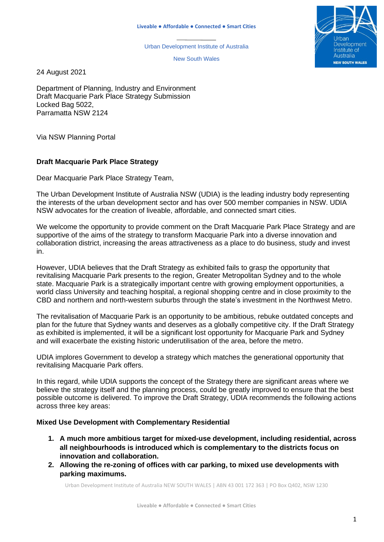Urban Development Institute of Australia

New South Wales



24 August 2021

Department of Planning, Industry and Environment Draft Macquarie Park Place Strategy Submission Locked Bag 5022, Parramatta NSW 2124

Via NSW Planning Portal

### **Draft Macquarie Park Place Strategy**

Dear Macquarie Park Place Strategy Team,

The Urban Development Institute of Australia NSW (UDIA) is the leading industry body representing the interests of the urban development sector and has over 500 member companies in NSW. UDIA NSW advocates for the creation of liveable, affordable, and connected smart cities.

We welcome the opportunity to provide comment on the Draft Macquarie Park Place Strategy and are supportive of the aims of the strategy to transform Macquarie Park into a diverse innovation and collaboration district, increasing the areas attractiveness as a place to do business, study and invest in.

However, UDIA believes that the Draft Strategy as exhibited fails to grasp the opportunity that revitalising Macquarie Park presents to the region, Greater Metropolitan Sydney and to the whole state. Macquarie Park is a strategically important centre with growing employment opportunities, a world class University and teaching hospital, a regional shopping centre and in close proximity to the CBD and northern and north-western suburbs through the state's investment in the Northwest Metro.

The revitalisation of Macquarie Park is an opportunity to be ambitious, rebuke outdated concepts and plan for the future that Sydney wants and deserves as a globally competitive city. If the Draft Strategy as exhibited is implemented, it will be a significant lost opportunity for Macquarie Park and Sydney and will exacerbate the existing historic underutilisation of the area, before the metro.

UDIA implores Government to develop a strategy which matches the generational opportunity that revitalising Macquarie Park offers.

In this regard, while UDIA supports the concept of the Strategy there are significant areas where we believe the strategy itself and the planning process, could be greatly improved to ensure that the best possible outcome is delivered. To improve the Draft Strategy, UDIA recommends the following actions across three key areas:

### **Mixed Use Development with Complementary Residential**

- **1. A much more ambitious target for mixed-use development, including residential, across all neighbourhoods is introduced which is complementary to the districts focus on innovation and collaboration.**
- **2. Allowing the re-zoning of offices with car parking, to mixed use developments with parking maximums.**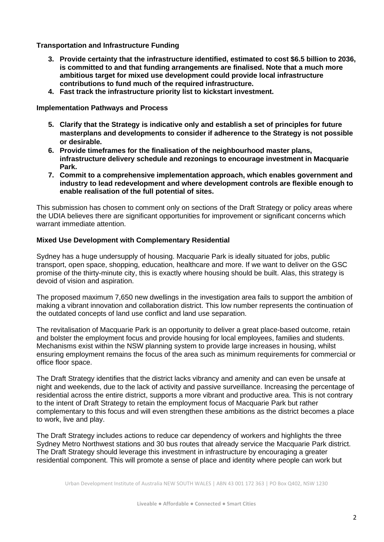**Transportation and Infrastructure Funding**

- **3. Provide certainty that the infrastructure identified, estimated to cost \$6.5 billion to 2036, is committed to and that funding arrangements are finalised. Note that a much more ambitious target for mixed use development could provide local infrastructure contributions to fund much of the required infrastructure.**
- **4. Fast track the infrastructure priority list to kickstart investment.**

## **Implementation Pathways and Process**

- **5. Clarify that the Strategy is indicative only and establish a set of principles for future masterplans and developments to consider if adherence to the Strategy is not possible or desirable.**
- **6. Provide timeframes for the finalisation of the neighbourhood master plans, infrastructure delivery schedule and rezonings to encourage investment in Macquarie Park.**
- **7. Commit to a comprehensive implementation approach, which enables government and industry to lead redevelopment and where development controls are flexible enough to enable realisation of the full potential of sites.**

This submission has chosen to comment only on sections of the Draft Strategy or policy areas where the UDIA believes there are significant opportunities for improvement or significant concerns which warrant immediate attention.

# **Mixed Use Development with Complementary Residential**

Sydney has a huge undersupply of housing. Macquarie Park is ideally situated for jobs, public transport, open space, shopping, education, healthcare and more. If we want to deliver on the GSC promise of the thirty-minute city, this is exactly where housing should be built. Alas, this strategy is devoid of vision and aspiration.

The proposed maximum 7,650 new dwellings in the investigation area fails to support the ambition of making a vibrant innovation and collaboration district. This low number represents the continuation of the outdated concepts of land use conflict and land use separation.

The revitalisation of Macquarie Park is an opportunity to deliver a great place-based outcome, retain and bolster the employment focus and provide housing for local employees, families and students. Mechanisms exist within the NSW planning system to provide large increases in housing, whilst ensuring employment remains the focus of the area such as minimum requirements for commercial or office floor space.

The Draft Strategy identifies that the district lacks vibrancy and amenity and can even be unsafe at night and weekends, due to the lack of activity and passive surveillance. Increasing the percentage of residential across the entire district, supports a more vibrant and productive area. This is not contrary to the intent of Draft Strategy to retain the employment focus of Macquarie Park but rather complementary to this focus and will even strengthen these ambitions as the district becomes a place to work, live and play.

The Draft Strategy includes actions to reduce car dependency of workers and highlights the three Sydney Metro Northwest stations and 30 bus routes that already service the Macquarie Park district. The Draft Strategy should leverage this investment in infrastructure by encouraging a greater residential component. This will promote a sense of place and identity where people can work but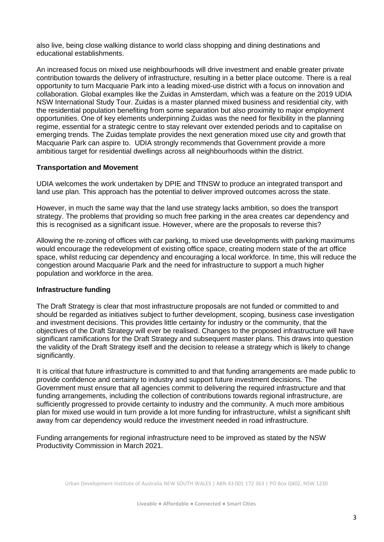also live, being close walking distance to world class shopping and dining destinations and educational establishments.

An increased focus on mixed use neighbourhoods will drive investment and enable greater private contribution towards the delivery of infrastructure, resulting in a better place outcome. There is a real opportunity to turn Macquarie Park into a leading mixed-use district with a focus on innovation and collaboration. Global examples like the Zuidas in Amsterdam, which was a feature on the 2019 UDIA NSW International Study Tour. Zuidas is a master planned mixed business and residential city, with the residential population benefiting from some separation but also proximity to major employment opportunities. One of key elements underpinning Zuidas was the need for flexibility in the planning regime, essential for a strategic centre to stay relevant over extended periods and to capitalise on emerging trends. The Zuidas template provides the next generation mixed use city and growth that Macquarie Park can aspire to. UDIA strongly recommends that Government provide a more ambitious target for residential dwellings across all neighbourhoods within the district.

### **Transportation and Movement**

UDIA welcomes the work undertaken by DPIE and TfNSW to produce an integrated transport and land use plan. This approach has the potential to deliver improved outcomes across the state.

However, in much the same way that the land use strategy lacks ambition, so does the transport strategy. The problems that providing so much free parking in the area creates car dependency and this is recognised as a significant issue. However, where are the proposals to reverse this?

Allowing the re-zoning of offices with car parking, to mixed use developments with parking maximums would encourage the redevelopment of existing office space, creating modern state of the art office space, whilst reducing car dependency and encouraging a local workforce. In time, this will reduce the congestion around Macquarie Park and the need for infrastructure to support a much higher population and workforce in the area.

### **Infrastructure funding**

The Draft Strategy is clear that most infrastructure proposals are not funded or committed to and should be regarded as initiatives subject to further development, scoping, business case investigation and investment decisions. This provides little certainty for industry or the community, that the objectives of the Draft Strategy will ever be realised. Changes to the proposed infrastructure will have significant ramifications for the Draft Strategy and subsequent master plans. This draws into question the validity of the Draft Strategy itself and the decision to release a strategy which is likely to change significantly.

It is critical that future infrastructure is committed to and that funding arrangements are made public to provide confidence and certainty to industry and support future investment decisions. The Government must ensure that all agencies commit to delivering the required infrastructure and that funding arrangements, including the collection of contributions towards regional infrastructure, are sufficiently progressed to provide certainty to industry and the community. A much more ambitious plan for mixed use would in turn provide a lot more funding for infrastructure, whilst a significant shift away from car dependency would reduce the investment needed in road infrastructure.

Funding arrangements for regional infrastructure need to be improved as stated by the NSW Productivity Commission in March 2021.